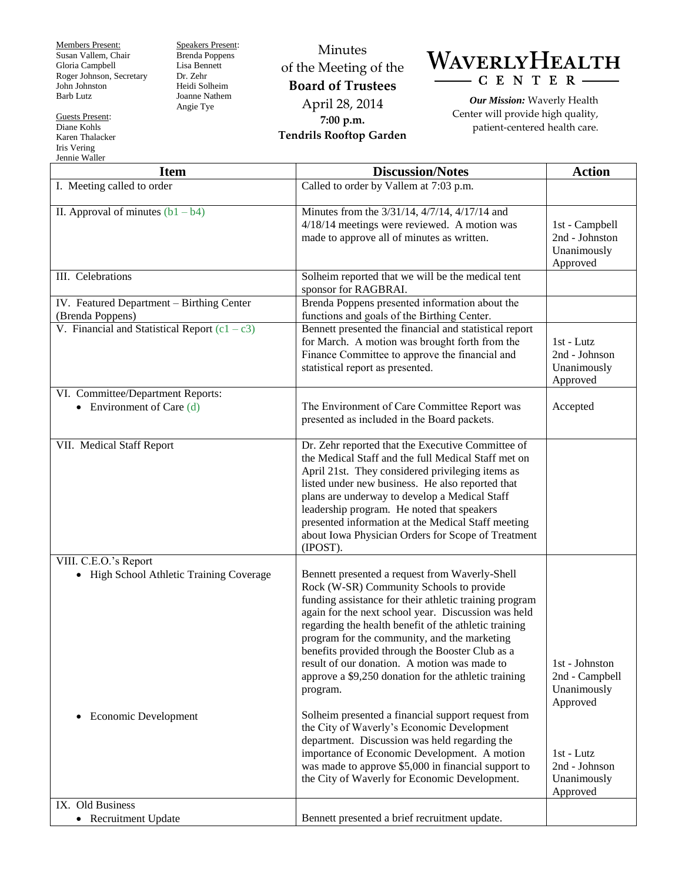Members Present: Susan Vallem, Chair Gloria Campbell Roger Johnson, Secretary John Johnston Barb Lutz

Guests Present: Diane Kohls Karen Thalacker Iris Vering Jennie Waller

Speakers Present: Brenda Poppens Lisa Bennett Dr. Zehr Heidi Solheim Joanne Nathem Angie Tye

Minutes of the Meeting of the **Board of Trustees** April 28, 2014 **7:00 p.m. Tendrils Rooftop Garden**

## WAVERLYHEALTH  $- C E N T E R -$

*Our Mission:* Waverly Health Center will provide high quality, patient-centered health care.

| <b>Item</b>                                                                                            | <b>Discussion/Notes</b>                                                                                                                                                                                                                                                                                                                                                                                                                                                                                                                                                                                                                                                                                                                                                                                  | <b>Action</b>                                                                                                         |
|--------------------------------------------------------------------------------------------------------|----------------------------------------------------------------------------------------------------------------------------------------------------------------------------------------------------------------------------------------------------------------------------------------------------------------------------------------------------------------------------------------------------------------------------------------------------------------------------------------------------------------------------------------------------------------------------------------------------------------------------------------------------------------------------------------------------------------------------------------------------------------------------------------------------------|-----------------------------------------------------------------------------------------------------------------------|
| I. Meeting called to order                                                                             | Called to order by Vallem at 7:03 p.m.                                                                                                                                                                                                                                                                                                                                                                                                                                                                                                                                                                                                                                                                                                                                                                   |                                                                                                                       |
| II. Approval of minutes $(b1 - b4)$                                                                    | Minutes from the 3/31/14, 4/7/14, 4/17/14 and<br>4/18/14 meetings were reviewed. A motion was<br>made to approve all of minutes as written.                                                                                                                                                                                                                                                                                                                                                                                                                                                                                                                                                                                                                                                              | 1st - Campbell<br>2nd - Johnston<br>Unanimously<br>Approved                                                           |
| III. Celebrations                                                                                      | Solheim reported that we will be the medical tent<br>sponsor for RAGBRAI.                                                                                                                                                                                                                                                                                                                                                                                                                                                                                                                                                                                                                                                                                                                                |                                                                                                                       |
| IV. Featured Department - Birthing Center<br>(Brenda Poppens)                                          | Brenda Poppens presented information about the<br>functions and goals of the Birthing Center.                                                                                                                                                                                                                                                                                                                                                                                                                                                                                                                                                                                                                                                                                                            |                                                                                                                       |
| V. Financial and Statistical Report $(c1 - c3)$                                                        | Bennett presented the financial and statistical report<br>for March. A motion was brought forth from the<br>Finance Committee to approve the financial and<br>statistical report as presented.                                                                                                                                                                                                                                                                                                                                                                                                                                                                                                                                                                                                           | 1st - Lutz<br>2nd - Johnson<br>Unanimously<br>Approved                                                                |
| VI. Committee/Department Reports:<br>• Environment of Care $(d)$                                       | The Environment of Care Committee Report was<br>presented as included in the Board packets.                                                                                                                                                                                                                                                                                                                                                                                                                                                                                                                                                                                                                                                                                                              | Accepted                                                                                                              |
| VII. Medical Staff Report                                                                              | Dr. Zehr reported that the Executive Committee of<br>the Medical Staff and the full Medical Staff met on<br>April 21st. They considered privileging items as<br>listed under new business. He also reported that<br>plans are underway to develop a Medical Staff<br>leadership program. He noted that speakers<br>presented information at the Medical Staff meeting<br>about Iowa Physician Orders for Scope of Treatment<br>(IPOST).                                                                                                                                                                                                                                                                                                                                                                  |                                                                                                                       |
| VIII. C.E.O.'s Report<br>• High School Athletic Training Coverage<br>Economic Development<br>$\bullet$ | Bennett presented a request from Waverly-Shell<br>Rock (W-SR) Community Schools to provide<br>funding assistance for their athletic training program<br>again for the next school year. Discussion was held<br>regarding the health benefit of the athletic training<br>program for the community, and the marketing<br>benefits provided through the Booster Club as a<br>result of our donation. A motion was made to<br>approve a \$9,250 donation for the athletic training<br>program.<br>Solheim presented a financial support request from<br>the City of Waverly's Economic Development<br>department. Discussion was held regarding the<br>importance of Economic Development. A motion<br>was made to approve \$5,000 in financial support to<br>the City of Waverly for Economic Development. | 1st - Johnston<br>2nd - Campbell<br>Unanimously<br>Approved<br>1st - Lutz<br>2nd - Johnson<br>Unanimously<br>Approved |
| IX. Old Business<br>• Recruitment Update                                                               | Bennett presented a brief recruitment update.                                                                                                                                                                                                                                                                                                                                                                                                                                                                                                                                                                                                                                                                                                                                                            |                                                                                                                       |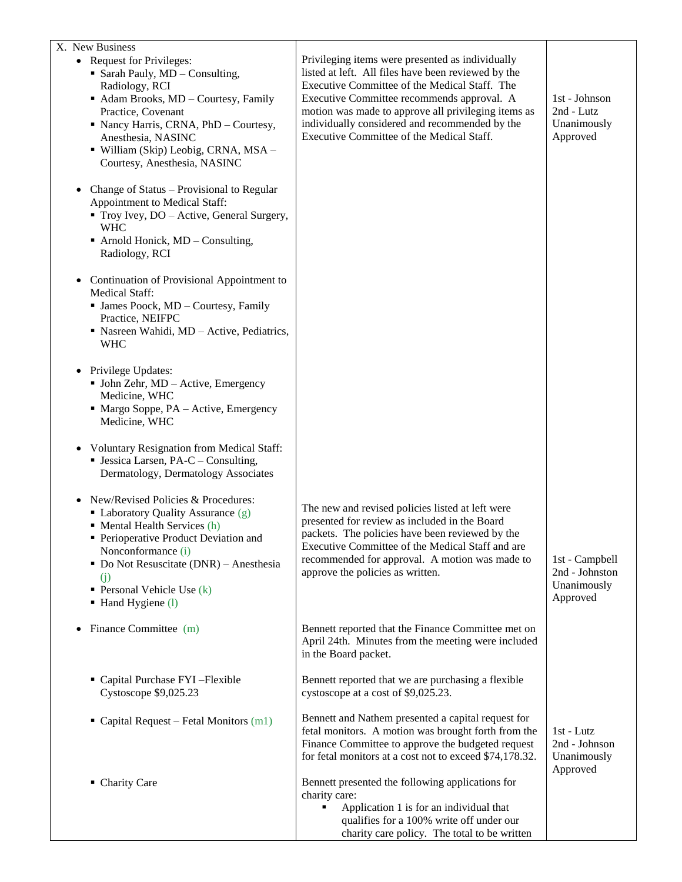| X. New Business<br>• Request for Privileges:<br>• Sarah Pauly, MD - Consulting,<br>Radiology, RCI<br>Adam Brooks, MD - Courtesy, Family<br>Practice, Covenant<br>• Nancy Harris, CRNA, PhD - Courtesy,<br>Anesthesia, NASINC<br>· William (Skip) Leobig, CRNA, MSA -<br>Courtesy, Anesthesia, NASINC           | Privileging items were presented as individually<br>listed at left. All files have been reviewed by the<br>Executive Committee of the Medical Staff. The<br>Executive Committee recommends approval. A<br>motion was made to approve all privileging items as<br>individually considered and recommended by the<br>Executive Committee of the Medical Staff. | 1st - Johnson<br>2nd - Lutz<br>Unanimously<br>Approved      |
|----------------------------------------------------------------------------------------------------------------------------------------------------------------------------------------------------------------------------------------------------------------------------------------------------------------|--------------------------------------------------------------------------------------------------------------------------------------------------------------------------------------------------------------------------------------------------------------------------------------------------------------------------------------------------------------|-------------------------------------------------------------|
| • Change of Status – Provisional to Regular<br>Appointment to Medical Staff:<br>Troy Ivey, DO - Active, General Surgery,<br><b>WHC</b><br>$\blacksquare$ Arnold Honick, MD – Consulting,<br>Radiology, RCI                                                                                                     |                                                                                                                                                                                                                                                                                                                                                              |                                                             |
| • Continuation of Provisional Appointment to<br><b>Medical Staff:</b><br>• James Poock, MD - Courtesy, Family<br>Practice, NEIFPC<br>• Nasreen Wahidi, MD - Active, Pediatrics,<br><b>WHC</b>                                                                                                                  |                                                                                                                                                                                                                                                                                                                                                              |                                                             |
| • Privilege Updates:<br>• John Zehr, MD - Active, Emergency<br>Medicine, WHC<br>$\blacksquare$ Margo Soppe, PA – Active, Emergency<br>Medicine, WHC                                                                                                                                                            |                                                                                                                                                                                                                                                                                                                                                              |                                                             |
| <b>Voluntary Resignation from Medical Staff:</b><br>$\bullet$<br><b>Jessica Larsen, PA-C - Consulting,</b><br>Dermatology, Dermatology Associates                                                                                                                                                              |                                                                                                                                                                                                                                                                                                                                                              |                                                             |
| New/Revised Policies & Procedures:<br>$\bullet$<br>• Laboratory Quality Assurance (g)<br>• Mental Health Services (h)<br>Perioperative Product Deviation and<br>Nonconformance (i)<br>$\blacksquare$ Do Not Resuscitate (DNR) – Anesthesia<br>(i)<br><b>• Personal Vehicle Use</b> $(k)$<br>• Hand Hygiene (l) | The new and revised policies listed at left were<br>presented for review as included in the Board<br>packets. The policies have been reviewed by the<br>Executive Committee of the Medical Staff and are<br>recommended for approval. A motion was made to<br>approve the policies as written.                                                               | 1st - Campbell<br>2nd - Johnston<br>Unanimously<br>Approved |
| Finance Committee (m)<br>$\bullet$                                                                                                                                                                                                                                                                             | Bennett reported that the Finance Committee met on<br>April 24th. Minutes from the meeting were included<br>in the Board packet.                                                                                                                                                                                                                             |                                                             |
| • Capital Purchase FYI-Flexible<br>Cystoscope \$9,025.23                                                                                                                                                                                                                                                       | Bennett reported that we are purchasing a flexible<br>cystoscope at a cost of \$9,025.23.                                                                                                                                                                                                                                                                    |                                                             |
| Capital Request - Fetal Monitors (m1)                                                                                                                                                                                                                                                                          | Bennett and Nathem presented a capital request for<br>fetal monitors. A motion was brought forth from the<br>Finance Committee to approve the budgeted request<br>for fetal monitors at a cost not to exceed \$74,178.32.                                                                                                                                    | 1st - Lutz<br>2nd - Johnson<br>Unanimously<br>Approved      |
| • Charity Care                                                                                                                                                                                                                                                                                                 | Bennett presented the following applications for<br>charity care:<br>Application 1 is for an individual that<br>qualifies for a 100% write off under our<br>charity care policy. The total to be written                                                                                                                                                     |                                                             |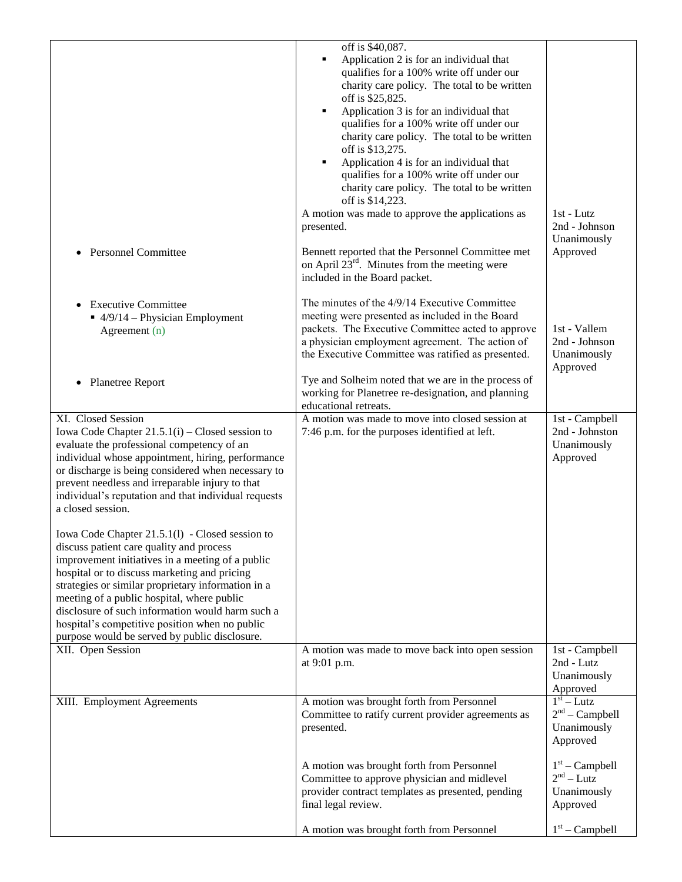|                                                                                                                                                                                                                                                                                                                                                                                                                                                            | off is \$40,087.<br>Application 2 is for an individual that<br>qualifies for a 100% write off under our<br>charity care policy. The total to be written<br>off is \$25,825.<br>Application 3 is for an individual that<br>qualifies for a 100% write off under our<br>charity care policy. The total to be written<br>off is \$13,275.<br>Application 4 is for an individual that<br>٠<br>qualifies for a 100% write off under our<br>charity care policy. The total to be written<br>off is \$14,223.<br>A motion was made to approve the applications as<br>presented. | $1st$ - Lutz<br>2nd - Johnson<br>Unanimously                   |
|------------------------------------------------------------------------------------------------------------------------------------------------------------------------------------------------------------------------------------------------------------------------------------------------------------------------------------------------------------------------------------------------------------------------------------------------------------|--------------------------------------------------------------------------------------------------------------------------------------------------------------------------------------------------------------------------------------------------------------------------------------------------------------------------------------------------------------------------------------------------------------------------------------------------------------------------------------------------------------------------------------------------------------------------|----------------------------------------------------------------|
| <b>Personnel Committee</b>                                                                                                                                                                                                                                                                                                                                                                                                                                 | Bennett reported that the Personnel Committee met<br>on April $23^{\text{rd}}$ . Minutes from the meeting were<br>included in the Board packet.                                                                                                                                                                                                                                                                                                                                                                                                                          | Approved                                                       |
| <b>Executive Committee</b><br>$\blacksquare$ 4/9/14 – Physician Employment<br>Agreement (n)                                                                                                                                                                                                                                                                                                                                                                | The minutes of the 4/9/14 Executive Committee<br>meeting were presented as included in the Board<br>packets. The Executive Committee acted to approve<br>a physician employment agreement. The action of<br>the Executive Committee was ratified as presented.                                                                                                                                                                                                                                                                                                           | 1st - Vallem<br>2nd - Johnson<br>Unanimously<br>Approved       |
| Planetree Report<br>$\bullet$                                                                                                                                                                                                                                                                                                                                                                                                                              | Tye and Solheim noted that we are in the process of<br>working for Planetree re-designation, and planning<br>educational retreats.                                                                                                                                                                                                                                                                                                                                                                                                                                       |                                                                |
| XI. Closed Session<br>Iowa Code Chapter $21.5.1(i)$ – Closed session to<br>evaluate the professional competency of an<br>individual whose appointment, hiring, performance<br>or discharge is being considered when necessary to<br>prevent needless and irreparable injury to that<br>individual's reputation and that individual requests<br>a closed session.                                                                                           | A motion was made to move into closed session at<br>7:46 p.m. for the purposes identified at left.                                                                                                                                                                                                                                                                                                                                                                                                                                                                       | 1st - Campbell<br>2nd - Johnston<br>Unanimously<br>Approved    |
| Iowa Code Chapter 21.5.1(1) - Closed session to<br>discuss patient care quality and process<br>improvement initiatives in a meeting of a public<br>hospital or to discuss marketing and pricing<br>strategies or similar proprietary information in a<br>meeting of a public hospital, where public<br>disclosure of such information would harm such a<br>hospital's competitive position when no public<br>purpose would be served by public disclosure. |                                                                                                                                                                                                                                                                                                                                                                                                                                                                                                                                                                          |                                                                |
| XII. Open Session                                                                                                                                                                                                                                                                                                                                                                                                                                          | A motion was made to move back into open session<br>at 9:01 p.m.                                                                                                                                                                                                                                                                                                                                                                                                                                                                                                         | 1st - Campbell<br>2nd - Lutz<br>Unanimously<br>Approved        |
| XIII. Employment Agreements                                                                                                                                                                                                                                                                                                                                                                                                                                | A motion was brought forth from Personnel<br>Committee to ratify current provider agreements as<br>presented.                                                                                                                                                                                                                                                                                                                                                                                                                                                            | $1st - Lutz$<br>$2nd$ – Campbell<br>Unanimously<br>Approved    |
|                                                                                                                                                                                                                                                                                                                                                                                                                                                            | A motion was brought forth from Personnel<br>Committee to approve physician and midlevel<br>provider contract templates as presented, pending<br>final legal review.                                                                                                                                                                                                                                                                                                                                                                                                     | $1st$ – Campbell<br>$2^{nd}$ – Lutz<br>Unanimously<br>Approved |
|                                                                                                                                                                                                                                                                                                                                                                                                                                                            | A motion was brought forth from Personnel                                                                                                                                                                                                                                                                                                                                                                                                                                                                                                                                | $1st$ – Campbell                                               |